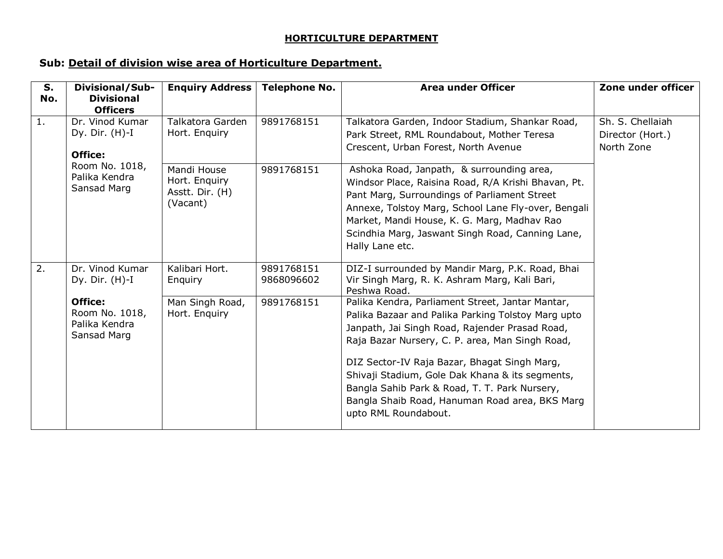## **HORTICULTURE DEPARTMENT**

## **Sub: Detail of division wise area of Horticulture Department.**

| S.<br>No. | Divisional/Sub-<br><b>Divisional</b><br><b>Officers</b>   | <b>Enquiry Address</b>                                      | <b>Telephone No.</b>     | <b>Area under Officer</b>                                                                                                                                                                                                                                                                                                                                                                                                                 | Zone under officer                                 |
|-----------|-----------------------------------------------------------|-------------------------------------------------------------|--------------------------|-------------------------------------------------------------------------------------------------------------------------------------------------------------------------------------------------------------------------------------------------------------------------------------------------------------------------------------------------------------------------------------------------------------------------------------------|----------------------------------------------------|
| 1.        | Dr. Vinod Kumar<br>Dy. Dir. $(H)-I$<br>Office:            | <b>Talkatora Garden</b><br>Hort. Enquiry                    | 9891768151               | Talkatora Garden, Indoor Stadium, Shankar Road,<br>Park Street, RML Roundabout, Mother Teresa<br>Crescent, Urban Forest, North Avenue                                                                                                                                                                                                                                                                                                     | Sh. S. Chellaiah<br>Director (Hort.)<br>North Zone |
|           | Room No. 1018,<br>Palika Kendra<br>Sansad Marg            | Mandi House<br>Hort. Enquiry<br>Asstt. Dir. (H)<br>(Vacant) | 9891768151               | Ashoka Road, Janpath, & surrounding area,<br>Windsor Place, Raisina Road, R/A Krishi Bhavan, Pt.<br>Pant Marg, Surroundings of Parliament Street<br>Annexe, Tolstoy Marg, School Lane Fly-over, Bengali<br>Market, Mandi House, K. G. Marg, Madhav Rao<br>Scindhia Marg, Jaswant Singh Road, Canning Lane,<br>Hally Lane etc.                                                                                                             |                                                    |
| 2.        | Dr. Vinod Kumar<br>Dy. Dir. $(H)$ -I                      | Kalibari Hort.<br>Enquiry                                   | 9891768151<br>9868096602 | DIZ-I surrounded by Mandir Marg, P.K. Road, Bhai<br>Vir Singh Marg, R. K. Ashram Marg, Kali Bari,<br>Peshwa Road.                                                                                                                                                                                                                                                                                                                         |                                                    |
|           | Office:<br>Room No. 1018,<br>Palika Kendra<br>Sansad Marg | Man Singh Road,<br>Hort. Enquiry                            | 9891768151               | Palika Kendra, Parliament Street, Jantar Mantar,<br>Palika Bazaar and Palika Parking Tolstoy Marg upto<br>Janpath, Jai Singh Road, Rajender Prasad Road,<br>Raja Bazar Nursery, C. P. area, Man Singh Road,<br>DIZ Sector-IV Raja Bazar, Bhagat Singh Marg,<br>Shivaji Stadium, Gole Dak Khana & its segments,<br>Bangla Sahib Park & Road, T. T. Park Nursery,<br>Bangla Shaib Road, Hanuman Road area, BKS Marg<br>upto RML Roundabout. |                                                    |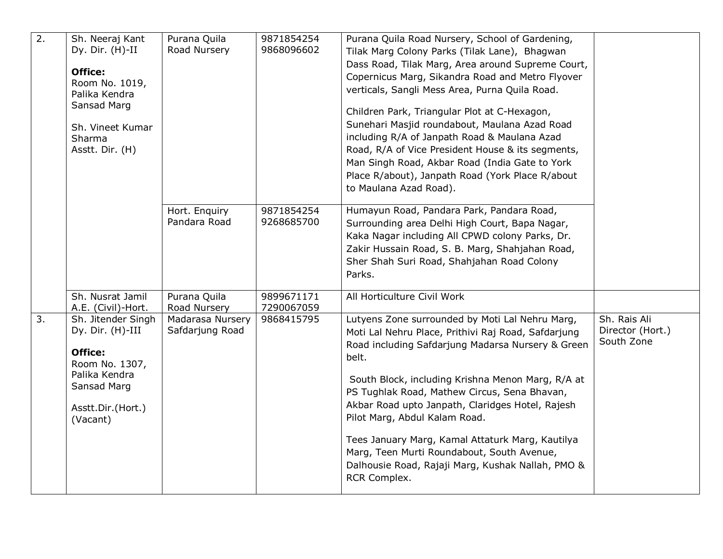| $\overline{2}$ . | Sh. Neeraj Kant<br>Dy. Dir. (H)-II<br>Office:<br>Room No. 1019,<br>Palika Kendra<br>Sansad Marg<br>Sh. Vineet Kumar<br>Sharma<br>Asstt. Dir. (H) | Purana Quila<br>Road Nursery        | 9871854254<br>9868096602 | Purana Quila Road Nursery, School of Gardening,<br>Tilak Marg Colony Parks (Tilak Lane), Bhagwan<br>Dass Road, Tilak Marg, Area around Supreme Court,<br>Copernicus Marg, Sikandra Road and Metro Flyover<br>verticals, Sangli Mess Area, Purna Quila Road.<br>Children Park, Triangular Plot at C-Hexagon,<br>Sunehari Masjid roundabout, Maulana Azad Road<br>including R/A of Janpath Road & Maulana Azad<br>Road, R/A of Vice President House & its segments,<br>Man Singh Road, Akbar Road (India Gate to York<br>Place R/about), Janpath Road (York Place R/about<br>to Maulana Azad Road). |                                                |
|------------------|--------------------------------------------------------------------------------------------------------------------------------------------------|-------------------------------------|--------------------------|---------------------------------------------------------------------------------------------------------------------------------------------------------------------------------------------------------------------------------------------------------------------------------------------------------------------------------------------------------------------------------------------------------------------------------------------------------------------------------------------------------------------------------------------------------------------------------------------------|------------------------------------------------|
|                  |                                                                                                                                                  | Hort. Enquiry<br>Pandara Road       | 9871854254<br>9268685700 | Humayun Road, Pandara Park, Pandara Road,<br>Surrounding area Delhi High Court, Bapa Nagar,<br>Kaka Nagar including All CPWD colony Parks, Dr.<br>Zakir Hussain Road, S. B. Marg, Shahjahan Road,<br>Sher Shah Suri Road, Shahjahan Road Colony<br>Parks.                                                                                                                                                                                                                                                                                                                                         |                                                |
|                  | Sh. Nusrat Jamil<br>A.E. (Civil)-Hort.                                                                                                           | Purana Quila<br>Road Nursery        | 9899671171<br>7290067059 | All Horticulture Civil Work                                                                                                                                                                                                                                                                                                                                                                                                                                                                                                                                                                       |                                                |
| 3.               | Sh. Jitender Singh<br>Dy. Dir. (H)-III<br>Office:<br>Room No. 1307,<br>Palika Kendra<br>Sansad Marg<br>Asstt.Dir.(Hort.)<br>(Vacant)             | Madarasa Nursery<br>Safdarjung Road | 9868415795               | Lutyens Zone surrounded by Moti Lal Nehru Marg,<br>Moti Lal Nehru Place, Prithivi Raj Road, Safdarjung<br>Road including Safdarjung Madarsa Nursery & Green<br>belt.<br>South Block, including Krishna Menon Marg, R/A at<br>PS Tughlak Road, Mathew Circus, Sena Bhavan,<br>Akbar Road upto Janpath, Claridges Hotel, Rajesh<br>Pilot Marg, Abdul Kalam Road.<br>Tees January Marg, Kamal Attaturk Marg, Kautilya<br>Marg, Teen Murti Roundabout, South Avenue,<br>Dalhousie Road, Rajaji Marg, Kushak Nallah, PMO &<br>RCR Complex.                                                             | Sh. Rais Ali<br>Director (Hort.)<br>South Zone |